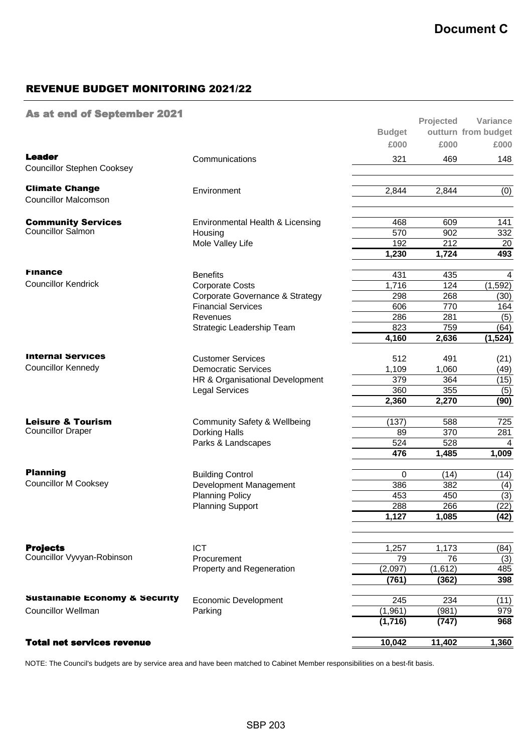## REVENUE BUDGET MONITORING 2021/22

## As at end of September 2021

|                                           |                                            |               | Projected | Variance            |
|-------------------------------------------|--------------------------------------------|---------------|-----------|---------------------|
|                                           |                                            | <b>Budget</b> |           | outturn from budget |
|                                           |                                            | £000          | £000      | £000                |
| <b>Leader</b>                             | Communications                             | 321           | 469       | 148                 |
| <b>Councillor Stephen Cooksey</b>         |                                            |               |           |                     |
| <b>Climate Change</b>                     | Environment                                | 2,844         | 2,844     | (0)                 |
| <b>Councillor Malcomson</b>               |                                            |               |           |                     |
| <b>Community Services</b>                 | Environmental Health & Licensing           | 468           | 609       | 141                 |
| Councillor Salmon                         | Housing                                    | 570           | 902       | 332                 |
|                                           | Mole Valley Life                           | 192           | 212       | 20                  |
|                                           |                                            | 1,230         | 1,724     | 493                 |
| <b>Finance</b>                            | <b>Benefits</b>                            | 431           | 435       | 4                   |
| <b>Councillor Kendrick</b>                | <b>Corporate Costs</b>                     | 1,716         | 124       | (1, 592)            |
|                                           | Corporate Governance & Strategy            | 298           | 268       | (30)                |
|                                           | <b>Financial Services</b>                  | 606           | 770       | 164                 |
|                                           | Revenues                                   | 286           | 281       | (5)                 |
|                                           | Strategic Leadership Team                  | 823           | 759       | (64)                |
|                                           |                                            | 4,160         | 2,636     | (1,524)             |
| <b>Internal Services</b>                  | <b>Customer Services</b>                   | 512           | 491       | (21)                |
| <b>Councillor Kennedy</b>                 | <b>Democratic Services</b>                 | 1,109         | 1,060     | (49)                |
|                                           | HR & Organisational Development            | 379           | 364       | (15)                |
|                                           | <b>Legal Services</b>                      | 360           | 355       | (5)                 |
|                                           |                                            | 2,360         | 2,270     | (90)                |
| <b>Leisure &amp; Tourism</b>              | <b>Community Safety &amp; Wellbeing</b>    | (137)         | 588       | 725                 |
| <b>Councillor Draper</b>                  | <b>Dorking Halls</b><br>Parks & Landscapes | 89            | 370       | 281                 |
|                                           |                                            | 524           | 528       | 4                   |
|                                           |                                            | 476           | 1,485     | 1,009               |
| <b>Planning</b>                           | <b>Building Control</b>                    | $\Omega$      | (14)      | (14)                |
| <b>Councillor M Cooksey</b>               | Development Management                     | 386           | 382       | (4)                 |
|                                           | <b>Planning Policy</b>                     | 453           | 450       | (3)                 |
|                                           | <b>Planning Support</b>                    | 288           | 266       | (22)                |
|                                           |                                            | 1,127         | 1,085     | (42)                |
|                                           |                                            |               |           |                     |
| <b>Projects</b>                           | <b>ICT</b>                                 | 1,257         | 1,173     | (84)                |
| Councillor Vyvyan-Robinson                | Procurement                                | 79            | 76        | (3)                 |
|                                           | Property and Regeneration                  | (2,097)       | (1,612)   | 485                 |
|                                           |                                            | (761)         | (362)     | 398                 |
| <b>Sustainable Economy &amp; Security</b> | Economic Development                       | 245           | 234       | (11)                |
| <b>Councillor Wellman</b>                 | Parking                                    | (1, 961)      | (981)     | 979                 |
|                                           |                                            | (1,716)       | (747)     | 968                 |
| <b>Total net services revenue</b>         |                                            | 10,042        | 11,402    | 1,360               |
|                                           |                                            |               |           |                     |

NOTE: The Council's budgets are by service area and have been matched to Cabinet Member responsibilities on a best-fit basis.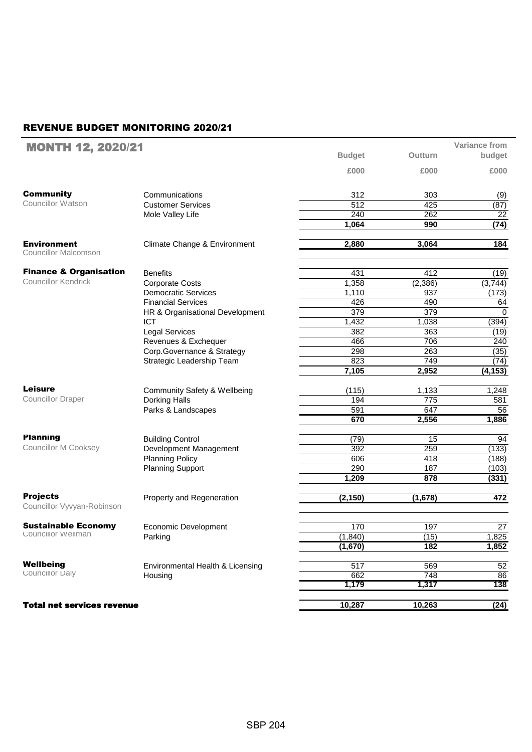## REVENUE BUDGET MONITORING 2020/21

| <b>MONTH 12, 2020/21</b>                          |                                         |               |          | Variance from |
|---------------------------------------------------|-----------------------------------------|---------------|----------|---------------|
|                                                   |                                         | <b>Budget</b> | Outturn  | budget        |
|                                                   |                                         | £000          | £000     | £000          |
| <b>Community</b>                                  | Communications                          | 312           | 303      | (9)           |
| <b>Councillor Watson</b>                          | <b>Customer Services</b>                | 512           | 425      | (87)          |
|                                                   | Mole Valley Life                        | 240           | 262      | 22            |
|                                                   |                                         | 1,064         | 990      | (74)          |
| <b>Environment</b><br><b>Councillor Malcomson</b> | Climate Change & Environment            | 2,880         | 3,064    | 184           |
| <b>Finance &amp; Organisation</b>                 | <b>Benefits</b>                         | 431           | 412      | (19)          |
| <b>Councillor Kendrick</b>                        | <b>Corporate Costs</b>                  | 1,358         | (2, 386) | (3,744)       |
|                                                   | <b>Democratic Services</b>              | 1,110         | 937      | (173)         |
|                                                   | <b>Financial Services</b>               | 426           | 490      | 64            |
|                                                   | HR & Organisational Development         | 379           | 379      | 0             |
|                                                   | <b>ICT</b>                              | 1,432         | 1,038    | (394)         |
|                                                   | <b>Legal Services</b>                   | 382           | 363      | (19)          |
|                                                   | Revenues & Exchequer                    | 466           | 706      | 240           |
|                                                   | Corp.Governance & Strategy              | 298           | 263      | (35)          |
|                                                   | Strategic Leadership Team               | 823           | 749      | (74)          |
|                                                   |                                         | 7,105         | 2,952    | (4, 153)      |
| <b>Leisure</b>                                    | <b>Community Safety &amp; Wellbeing</b> | (115)         | 1,133    | 1,248         |
| <b>Councillor Draper</b>                          | Dorking Halls                           | 194           | 775      | 581           |
|                                                   | Parks & Landscapes                      | 591           | 647      | 56            |
|                                                   |                                         | 670           | 2,556    | 1,886         |
| <b>Planning</b>                                   | <b>Building Control</b>                 | (79)          | 15       | 94            |
| <b>Councillor M Cooksey</b>                       | Development Management                  | 392           | 259      | (133)         |
|                                                   | <b>Planning Policy</b>                  | 606           | 418      | (188)         |
|                                                   | <b>Planning Support</b>                 | 290           | 187      | (103)         |
|                                                   |                                         | 1,209         | 878      | (331)         |
| <b>Projects</b><br>Councillor Vyvyan-Robinson     | Property and Regeneration               | (2, 150)      | (1,678)  | 472           |
| <b>Sustainable Economy</b>                        | Economic Development                    | 170           | 197      | 27            |
| Councillor Wellman                                | Parking                                 | (1,840)       | (15)     | 1,825         |
|                                                   |                                         | (1,670)       | 182      | 1,852         |
| Wellbeing<br>Councillor Daly                      | Environmental Health & Licensing        | 517           | 569      | 52            |
|                                                   | Housing                                 | 662           | 748      | 86            |
|                                                   |                                         | 1,179         | 1,317    | 138           |
| <b>Total net services revenue</b>                 |                                         | 10,287        | 10,263   | (24)          |